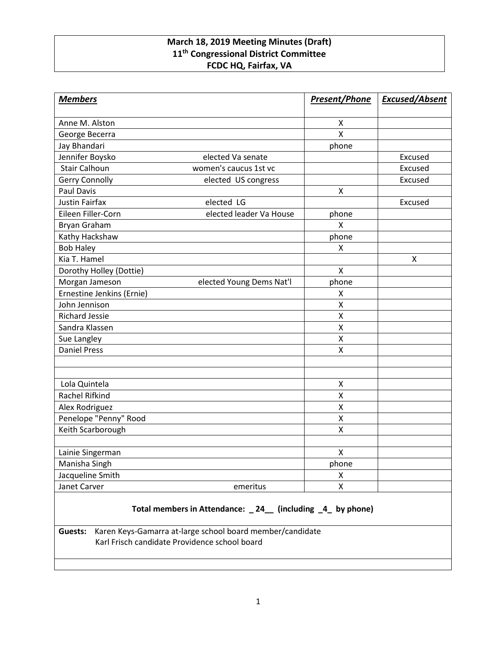# **March 18, 2019 Meeting Minutes (Draft) 11th Congressional District Committee FCDC HQ, Fairfax, VA**

| <b>Members</b>            |                          | <b>Present/Phone</b> | <b>Excused/Absent</b> |
|---------------------------|--------------------------|----------------------|-----------------------|
| Anne M. Alston            |                          | X                    |                       |
| George Becerra            |                          | $\pmb{\mathsf{X}}$   |                       |
| Jay Bhandari              |                          | phone                |                       |
| Jennifer Boysko           | elected Va senate        |                      | Excused               |
| <b>Stair Calhoun</b>      | women's caucus 1st vc    |                      | Excused               |
| <b>Gerry Connolly</b>     | elected US congress      |                      | Excused               |
| <b>Paul Davis</b>         |                          | X                    |                       |
| <b>Justin Fairfax</b>     | elected LG               |                      | Excused               |
| Eileen Filler-Corn        | elected leader Va House  | phone                |                       |
| <b>Bryan Graham</b>       |                          | $\mathsf{x}$         |                       |
| Kathy Hackshaw            |                          | phone                |                       |
| <b>Bob Haley</b>          |                          | X                    |                       |
| Kia T. Hamel              |                          |                      | X                     |
| Dorothy Holley (Dottie)   |                          | $\pmb{\mathsf{X}}$   |                       |
| Morgan Jameson            | elected Young Dems Nat'l | phone                |                       |
| Ernestine Jenkins (Ernie) |                          | X                    |                       |
| John Jennison             |                          | X                    |                       |
| <b>Richard Jessie</b>     |                          | $\pmb{\mathsf{X}}$   |                       |
| Sandra Klassen            |                          | X                    |                       |
| Sue Langley               |                          | Χ                    |                       |
| <b>Daniel Press</b>       |                          | X                    |                       |
|                           |                          |                      |                       |
|                           |                          |                      |                       |
| Lola Quintela             |                          | X                    |                       |
| Rachel Rifkind            |                          | X                    |                       |
| Alex Rodriguez            |                          | $\pmb{\mathsf{X}}$   |                       |
| Penelope "Penny" Rood     |                          | X                    |                       |
| Keith Scarborough         |                          | $\pmb{\mathsf{X}}$   |                       |
|                           |                          |                      |                       |
| Lainie Singerman          |                          | $\pmb{\mathsf{X}}$   |                       |
| Manisha Singh             |                          | phone                |                       |
| Jacqueline Smith          |                          | X                    |                       |
| Janet Carver              | emeritus                 | Χ                    |                       |

# **Total members in Attendance: \_ 24\_\_ (including \_4\_ by phone)**

**Guests:** Karen Keys-Gamarra at-large school board member/candidate Karl Frisch candidate Providence school board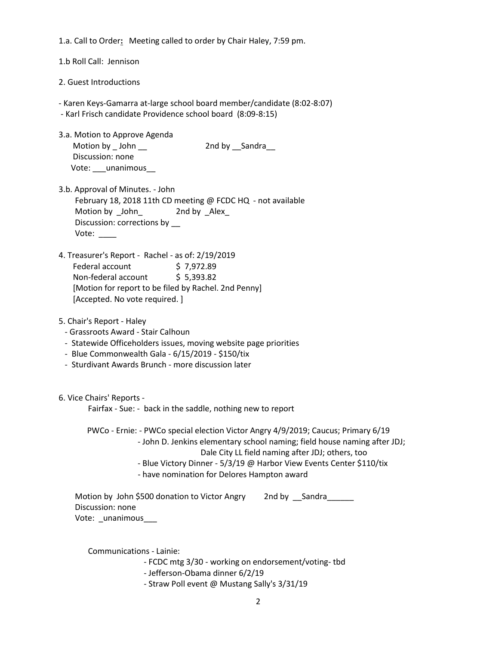1.a. Call to Order**:** Meeting called to order by Chair Haley, 7:59 pm.

1.b Roll Call: Jennison

2. Guest Introductions

- Karen Keys-Gamarra at-large school board member/candidate (8:02-8:07)

- Karl Frisch candidate Providence school board (8:09-8:15)
- 3.a. Motion to Approve Agenda Motion by \_John \_\_ 2nd by \_\_Sandra\_ Discussion: none Vote: \_\_\_ unanimous
- 3.b. Approval of Minutes. John February 18, 2018 11th CD meeting @ FCDC HQ - not available Motion by John 2nd by Alex Discussion: corrections by \_\_ Vote: \_\_\_\_
- 4. Treasurer's Report Rachel as of: 2/19/2019 Federal account \$7,972.89 Non-federal account \$ 5,393.82 [Motion for report to be filed by Rachel. 2nd Penny] [Accepted. No vote required. ]
- 5. Chair's Report Haley
	- Grassroots Award Stair Calhoun
	- Statewide Officeholders issues, moving website page priorities
	- Blue Commonwealth Gala 6/15/2019 \$150/tix
	- Sturdivant Awards Brunch more discussion later

6. Vice Chairs' Reports -

Fairfax - Sue: - back in the saddle, nothing new to report

 PWCo - Ernie: - PWCo special election Victor Angry 4/9/2019; Caucus; Primary 6/19 - John D. Jenkins elementary school naming; field house naming after JDJ; Dale City LL field naming after JDJ; others, too

- Blue Victory Dinner 5/3/19 @ Harbor View Events Center \$110/tix
- have nomination for Delores Hampton award

Motion by John \$500 donation to Victor Angry 2nd by Sandra Discussion: none Vote: \_unanimous\_\_\_

Communications - Lainie:

- FCDC mtg 3/30 working on endorsement/voting- tbd
- Jefferson-Obama dinner 6/2/19
- Straw Poll event @ Mustang Sally's 3/31/19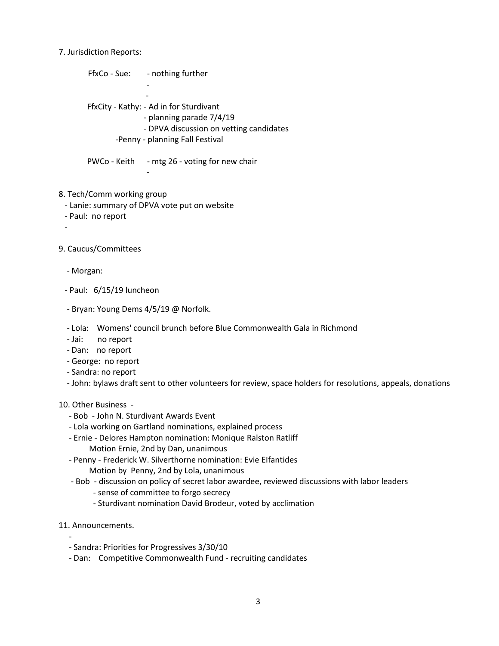#### 7. Jurisdiction Reports:

FfxCo - Sue: - nothing further - **- All and All and All and All and All**  FfxCity - Kathy: - Ad in for Sturdivant - planning parade 7/4/19 - DPVA discussion on vetting candidates -Penny - planning Fall Festival

PWCo - Keith - mtg 26 - voting for new chair

## 8. Tech/Comm working group

- Lanie: summary of DPVA vote put on website

-

- Paul: no report
- -

## 9. Caucus/Committees

- Morgan:
- Paul: 6/15/19 luncheon
- Bryan: Young Dems 4/5/19 @ Norfolk.
- Lola: Womens' council brunch before Blue Commonwealth Gala in Richmond
- Jai: no report
- Dan: no report
- George: no report
- Sandra: no report
- John: bylaws draft sent to other volunteers for review, space holders for resolutions, appeals, donations

#### 10. Other Business -

- Bob John N. Sturdivant Awards Event
- Lola working on Gartland nominations, explained process
- Ernie Delores Hampton nomination: Monique Ralston Ratliff Motion Ernie, 2nd by Dan, unanimous
- Penny Frederick W. Silverthorne nomination: Evie EIfantides
	- Motion by Penny, 2nd by Lola, unanimous
- Bob discussion on policy of secret labor awardee, reviewed discussions with labor leaders
	- sense of committee to forgo secrecy
	- Sturdivant nomination David Brodeur, voted by acclimation
- 11. Announcements.
- - Sandra: Priorities for Progressives 3/30/10
	- Dan: Competitive Commonwealth Fund recruiting candidates